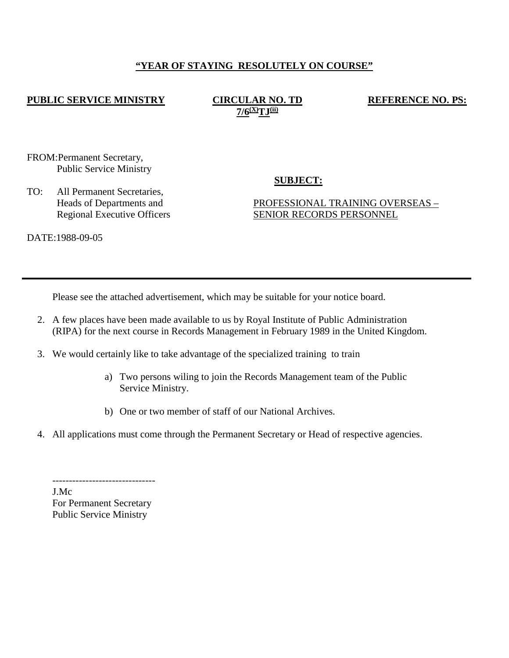### **"YEAR OF STAYING RESOLUTELY ON COURSE"**

### **PUBLIC SERVICE MINISTRY CIRCULAR NO. TD**

**7/6(X)TJ(ii)**

**REFERENCE NO. PS:** 

FROM:Permanent Secretary, Public Service Ministry

TO: All Permanent Secretaries, Heads of Departments and Regional Executive Officers

## **SUBJECT:**

### PROFESSIONAL TRAINING OVERSEAS – SENIOR RECORDS PERSONNEL

DATE:1988-09-05

Please see the attached advertisement, which may be suitable for your notice board.

- 2. A few places have been made available to us by Royal Institute of Public Administration (RIPA) for the next course in Records Management in February 1989 in the United Kingdom.
- 3. We would certainly like to take advantage of the specialized training to train
	- a) Two persons wiling to join the Records Management team of the Public Service Ministry.
	- b) One or two member of staff of our National Archives.
- 4. All applications must come through the Permanent Secretary or Head of respective agencies.

------------------------------- J.Mc For Permanent Secretary Public Service Ministry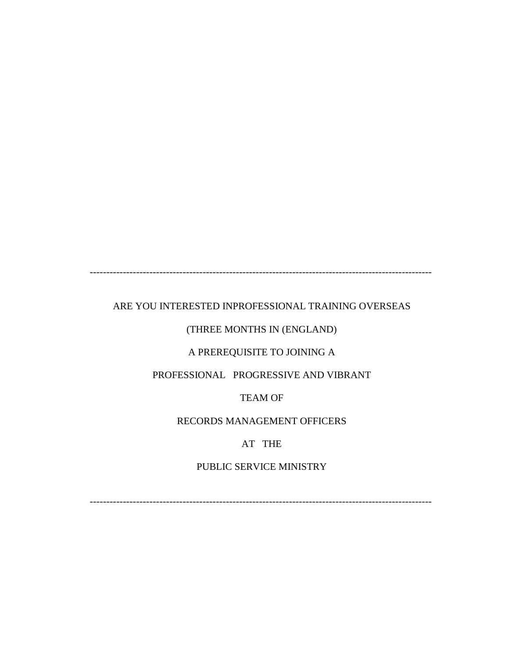-------------------------------------------------------------------------------------------------------

### ARE YOU INTERESTED INPROFESSIONAL TRAINING OVERSEAS

### (THREE MONTHS IN (ENGLAND)

### A PREREQUISITE TO JOINING A

## PROFESSIONAL PROGRESSIVE AND VIBRANT

### TEAM OF

# RECORDS MANAGEMENT OFFICERS

## AT THE

## PUBLIC SERVICE MINISTRY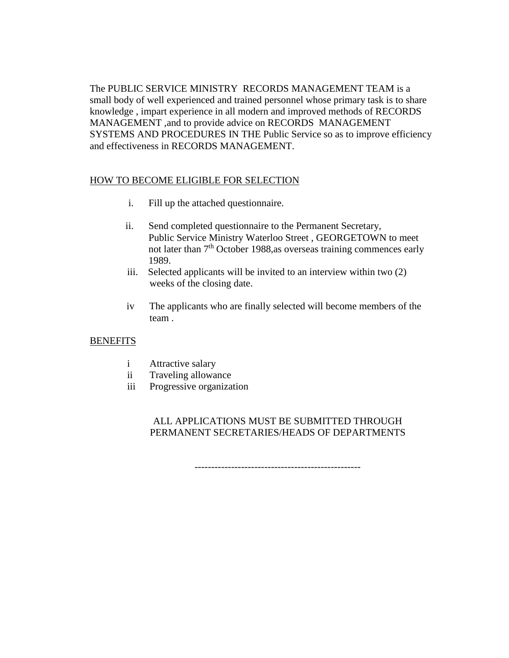The PUBLIC SERVICE MINISTRY RECORDS MANAGEMENT TEAM is a small body of well experienced and trained personnel whose primary task is to share knowledge , impart experience in all modern and improved methods of RECORDS MANAGEMENT ,and to provide advice on RECORDS MANAGEMENT SYSTEMS AND PROCEDURES IN THE Public Service so as to improve efficiency and effectiveness in RECORDS MANAGEMENT.

### HOW TO BECOME ELIGIBLE FOR SELECTION

- i. Fill up the attached questionnaire.
- ii. Send completed questionnaire to the Permanent Secretary, Public Service Ministry Waterloo Street , GEORGETOWN to meet not later than  $7<sup>th</sup>$  October 1988, as overseas training commences early 1989.
- iii. Selected applicants will be invited to an interview within two (2) weeks of the closing date.
- iv The applicants who are finally selected will become members of the team .

### **BENEFITS**

- i Attractive salary
- ii Traveling allowance
- iii Progressive organization

### ALL APPLICATIONS MUST BE SUBMITTED THROUGH PERMANENT SECRETARIES/HEADS OF DEPARTMENTS

--------------------------------------------------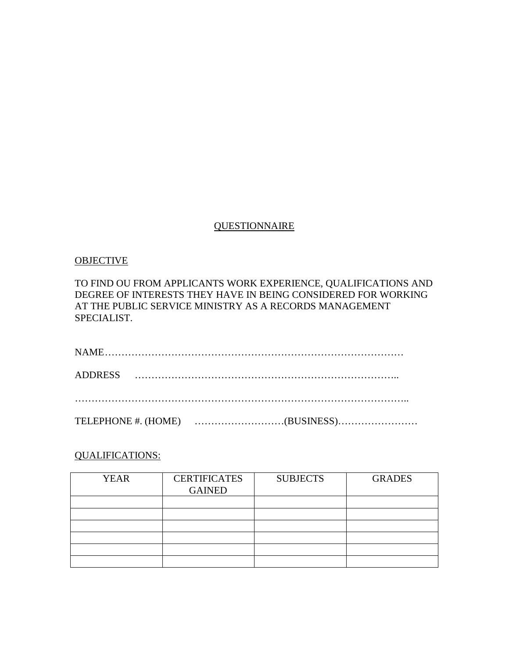## **QUESTIONNAIRE**

#### OBJECTIVE

### TO FIND OU FROM APPLICANTS WORK EXPERIENCE, QUALIFICATIONS AND DEGREE OF INTERESTS THEY HAVE IN BEING CONSIDERED FOR WORKING AT THE PUBLIC SERVICE MINISTRY AS A RECORDS MANAGEMENT SPECIALIST.

## QUALIFICATIONS:

| <b>YEAR</b> | <b>CERTIFICATES</b><br><b>GAINED</b> | <b>SUBJECTS</b> | <b>GRADES</b> |
|-------------|--------------------------------------|-----------------|---------------|
|             |                                      |                 |               |
|             |                                      |                 |               |
|             |                                      |                 |               |
|             |                                      |                 |               |
|             |                                      |                 |               |
|             |                                      |                 |               |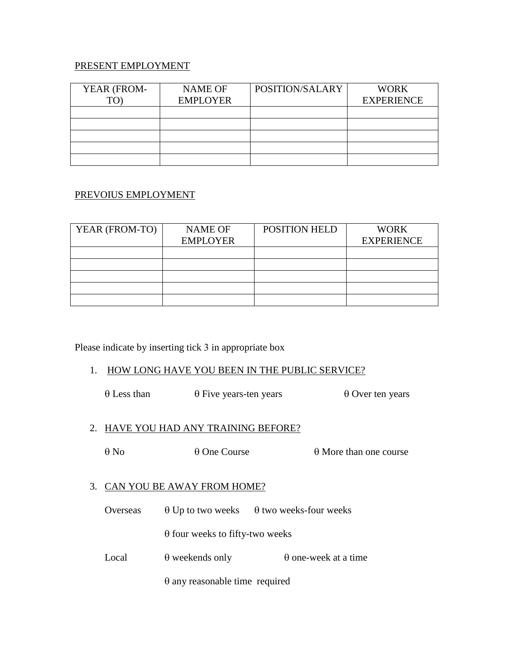### PRESENT EMPLOYMENT

| YEAR (FROM- | <b>NAME OF</b>  | POSITION/SALARY | <b>WORK</b>       |
|-------------|-----------------|-----------------|-------------------|
| TΩ          | <b>EMPLOYER</b> |                 | <b>EXPERIENCE</b> |
|             |                 |                 |                   |
|             |                 |                 |                   |
|             |                 |                 |                   |
|             |                 |                 |                   |
|             |                 |                 |                   |

### PREVOIUS EMPLOYMENT

| YEAR (FROM-TO) | <b>NAME OF</b>  | POSITION HELD | <b>WORK</b>       |
|----------------|-----------------|---------------|-------------------|
|                | <b>EMPLOYER</b> |               | <b>EXPERIENCE</b> |
|                |                 |               |                   |
|                |                 |               |                   |
|                |                 |               |                   |
|                |                 |               |                   |
|                |                 |               |                   |

Please indicate by inserting tick 3 in appropriate box

#### 1. HOW LONG HAVE YOU BEEN IN THE PUBLIC SERVICE?

θ Less than θ Five years-ten years θ Over ten years

### 2. HAVE YOU HAD ANY TRAINING BEFORE?

θ No θ One Course θ More than one course

### 3. CAN YOU BE AWAY FROM HOME?

Overseas  $\theta$  Up to two weeks  $\theta$  two weeks-four weeks

θ four weeks to fifty-two weeks

Local  $\theta$  weekends only  $\theta$  one-week at a time

θ any reasonable time required